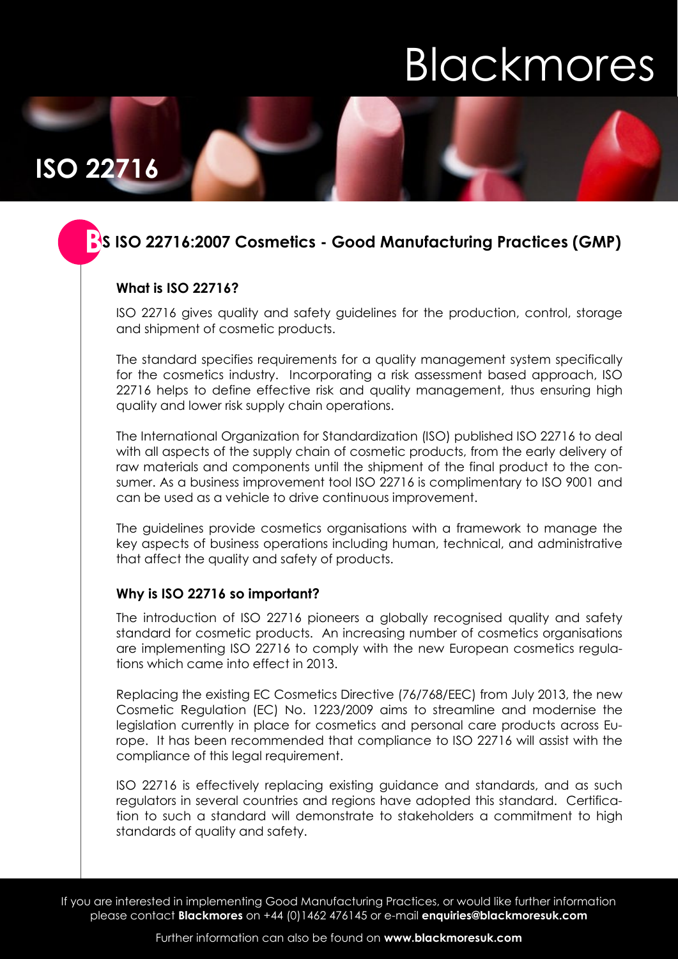# **Blackmores**

**ISO 22716**

### **S ISO 22716:2007 Cosmetics - Good Manufacturing Practices (GMP) B**

### **What is ISO 22716?**

ISO 22716 gives quality and safety guidelines for the production, control, storage and shipment of cosmetic products.

The standard specifies requirements for a quality management system specifically for the cosmetics industry. Incorporating a risk assessment based approach, ISO 22716 helps to define effective risk and quality management, thus ensuring high quality and lower risk supply chain operations.

The International Organization for Standardization (ISO) published ISO 22716 to deal with all aspects of the supply chain of cosmetic products, from the early delivery of raw materials and components until the shipment of the final product to the consumer. As a business improvement tool ISO 22716 is complimentary to ISO 9001 and can be used as a vehicle to drive continuous improvement.

The guidelines provide cosmetics organisations with a framework to manage the key aspects of business operations including human, technical, and administrative that affect the quality and safety of products.

#### **Why is ISO 22716 so important?**

The introduction of ISO 22716 pioneers a globally recognised quality and safety standard for cosmetic products. An increasing number of cosmetics organisations are implementing ISO 22716 to comply with the new European cosmetics regulations which came into effect in 2013.

Replacing the existing EC Cosmetics Directive (76/768/EEC) from July 2013, the new Cosmetic Regulation (EC) No. 1223/2009 aims to streamline and modernise the legislation currently in place for cosmetics and personal care products across Europe. It has been recommended that compliance to ISO 22716 will assist with the compliance of this legal requirement.

ISO 22716 is effectively replacing existing guidance and standards, and as such regulators in several countries and regions have adopted this standard. Certification to such a standard will demonstrate to stakeholders a commitment to high standards of quality and safety.

If you are interested in implementing Good Manufacturing Practices, or would like further information please contact **Blackmores** on +44 (0)1462 476145 or e-mail **enquiries@blackmoresuk.com**